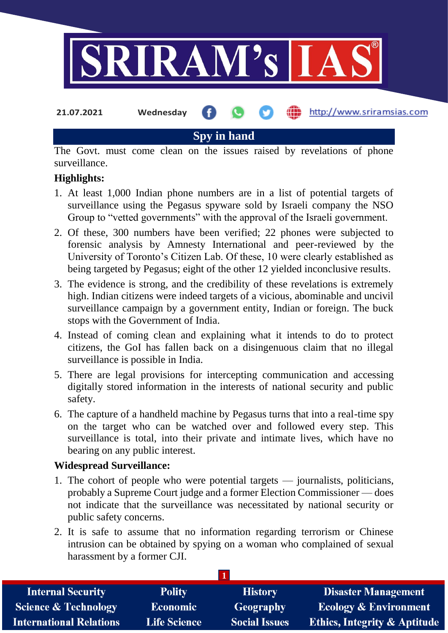

**Spy in hand**

The Govt. must come clean on the issues raised by revelations of phone surveillance.

### **Highlights:**

- 1. At least 1,000 Indian phone numbers are in a list of potential targets of surveillance using the Pegasus spyware sold by Israeli company the NSO Group to "vetted governments" with the approval of the Israeli government.
- 2. Of these, 300 numbers have been verified; 22 phones were subjected to forensic analysis by Amnesty International and peer-reviewed by the University of Toronto's Citizen Lab. Of these, 10 were clearly established as being targeted by Pegasus; eight of the other 12 yielded inconclusive results.
- 3. The evidence is strong, and the credibility of these revelations is extremely high. Indian citizens were indeed targets of a vicious, abominable and uncivil surveillance campaign by a government entity, Indian or foreign. The buck stops with the Government of India.
- 4. Instead of coming clean and explaining what it intends to do to protect citizens, the GoI has fallen back on a disingenuous claim that no illegal surveillance is possible in India.
- 5. There are legal provisions for intercepting communication and accessing digitally stored information in the interests of national security and public safety.
- 6. The capture of a handheld machine by Pegasus turns that into a real-time spy on the target who can be watched over and followed every step. This surveillance is total, into their private and intimate lives, which have no bearing on any public interest.

#### **Widespread Surveillance:**

- 1. The cohort of people who were potential targets journalists, politicians, probably a Supreme Court judge and a former Election Commissioner — does not indicate that the surveillance was necessitated by national security or public safety concerns.
- 2. It is safe to assume that no information regarding terrorism or Chinese intrusion can be obtained by spying on a woman who complained of sexual harassment by a former CJI.

| <b>Internal Security</b>        | <b>Polity</b>       | <b>History</b>       | <b>Disaster Management</b>              |  |  |
|---------------------------------|---------------------|----------------------|-----------------------------------------|--|--|
| <b>Science &amp; Technology</b> | <b>Economic</b>     | Geography            | <b>Ecology &amp; Environment</b>        |  |  |
| <b>International Relations</b>  | <b>Life Science</b> | <b>Social Issues</b> | <b>Ethics, Integrity &amp; Aptitude</b> |  |  |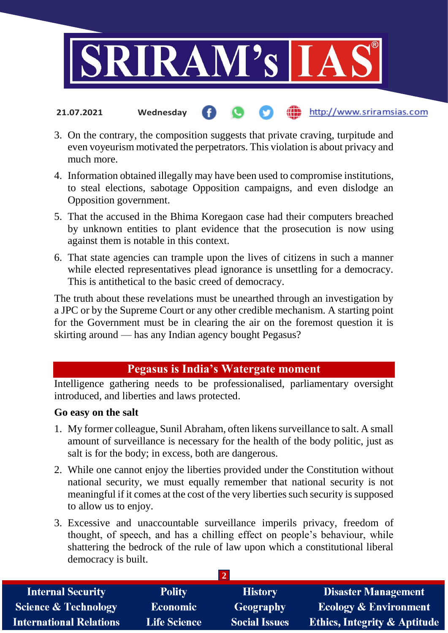

- http://www.sriramsias.com **21.07.2021 Wednesday**
- 3. On the contrary, the composition suggests that private craving, turpitude and even voyeurism motivated the perpetrators. This violation is about privacy and much more.
- 4. Information obtained illegally may have been used to compromise institutions, to steal elections, sabotage Opposition campaigns, and even dislodge an Opposition government.
- 5. That the accused in the Bhima Koregaon case had their computers breached by unknown entities to plant evidence that the prosecution is now using against them is notable in this context.
- 6. That state agencies can trample upon the lives of citizens in such a manner while elected representatives plead ignorance is unsettling for a democracy. This is antithetical to the basic creed of democracy.

The truth about these revelations must be unearthed through an investigation by a JPC or by the Supreme Court or any other credible mechanism. A starting point for the Government must be in clearing the air on the foremost question it is skirting around — has any Indian agency bought Pegasus?

# **Pegasus is India's Watergate moment**

Intelligence gathering needs to be professionalised, parliamentary oversight introduced, and liberties and laws protected.

## **Go easy on the salt**

- 1. My former colleague, Sunil Abraham, often likens surveillance to salt. A small amount of surveillance is necessary for the health of the body politic, just as salt is for the body; in excess, both are dangerous.
- 2. While one cannot enjoy the liberties provided under the Constitution without national security, we must equally remember that national security is not meaningful if it comes at the cost of the very liberties such security is supposed to allow us to enjoy.
- 3. Excessive and unaccountable surveillance imperils privacy, freedom of thought, of speech, and has a chilling effect on people's behaviour, while shattering the bedrock of the rule of law upon which a constitutional liberal democracy is built.

| <b>Internal Security</b>        | <b>Polity</b>       | <b>History</b>       | <b>Disaster Management</b>              |  |  |
|---------------------------------|---------------------|----------------------|-----------------------------------------|--|--|
| <b>Science &amp; Technology</b> | <b>Economic</b>     | Geography            | <b>Ecology &amp; Environment</b>        |  |  |
| <b>International Relations</b>  | <b>Life Science</b> | <b>Social Issues</b> | <b>Ethics, Integrity &amp; Aptitude</b> |  |  |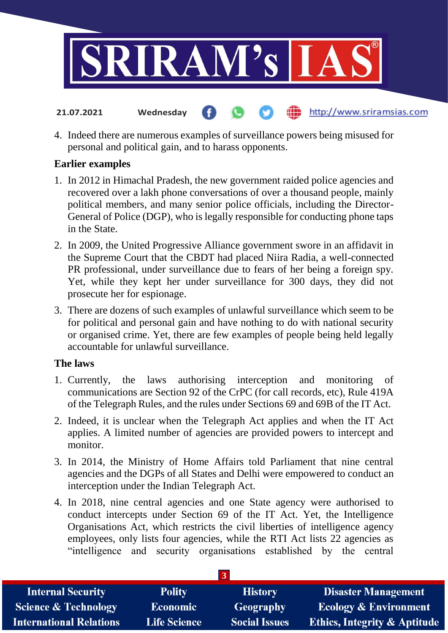

4. Indeed there are numerous examples of surveillance powers being misused for personal and political gain, and to harass opponents.

http://www.sriramsias.com

#### **Earlier examples**

**21.07.2021 Wednesday**

- 1. In 2012 in Himachal Pradesh, the new government raided police agencies and recovered over a lakh phone conversations of over a thousand people, mainly political members, and many senior police officials, including the Director-General of Police (DGP), who is legally responsible for conducting phone taps in the State.
- 2. In 2009, the United Progressive Alliance government swore in an affidavit in the Supreme Court that the CBDT had placed Niira Radia, a well-connected PR professional, under surveillance due to fears of her being a foreign spy. Yet, while they kept her under surveillance for 300 days, they did not prosecute her for espionage.
- 3. There are dozens of such examples of unlawful surveillance which seem to be for political and personal gain and have nothing to do with national security or organised crime. Yet, there are few examples of people being held legally accountable for unlawful surveillance.

#### **The laws**

- 1. Currently, the laws authorising interception and monitoring of communications are Section 92 of the CrPC (for call records, etc), Rule 419A of the Telegraph Rules, and the rules under Sections 69 and 69B of the IT Act.
- 2. Indeed, it is unclear when the Telegraph Act applies and when the IT Act applies. A limited number of agencies are provided powers to intercept and monitor.
- 3. In 2014, the Ministry of Home Affairs told Parliament that nine central agencies and the DGPs of all States and Delhi were empowered to conduct an interception under the Indian Telegraph Act.
- 4. In 2018, nine central agencies and one State agency were authorised to conduct intercepts under Section 69 of the IT Act. Yet, the Intelligence Organisations Act, which restricts the civil liberties of intelligence agency employees, only lists four agencies, while the RTI Act lists 22 agencies as "intelligence and security organisations established by the central

| <b>Internal Security</b>        | <b>Polity</b>       | <b>History</b>       | <b>Disaster Management</b>              |  |  |  |
|---------------------------------|---------------------|----------------------|-----------------------------------------|--|--|--|
| <b>Science &amp; Technology</b> | <b>Economic</b>     | Geography            | <b>Ecology &amp; Environment</b>        |  |  |  |
| <b>International Relations</b>  | <b>Life Science</b> | <b>Social Issues</b> | <b>Ethics, Integrity &amp; Aptitude</b> |  |  |  |